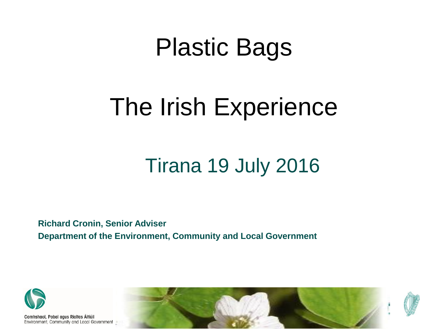#### Plastic Bags

#### The Irish Experience

#### Tirana 19 July 2016

**Richard Cronin, Senior Adviser Department of the Environment, Community and Local Government**



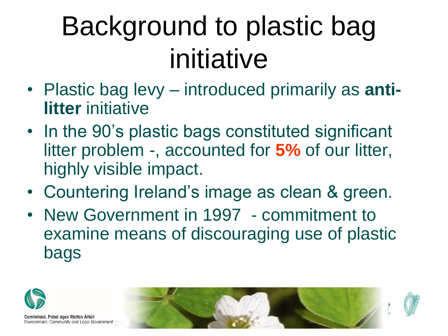# Background to plastic bag initiative

- Plastic bag levy introduced primarily as **antilitter** initiative
- In the 90's plastic bags constituted significant litter problem -, accounted for **5%** of our litter, highly visible impact.
- Countering Ireland's image as clean & green.
- New Government in 1997 commitment to examine means of discouraging use of plastic bags

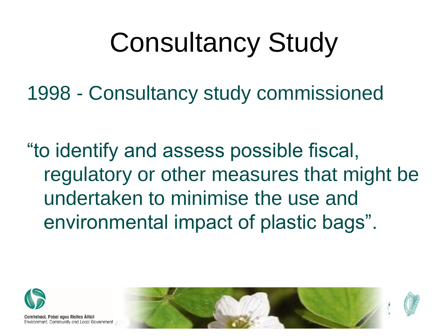# Consultancy Study

1998 - Consultancy study commissioned

"to identify and assess possible fiscal, regulatory or other measures that might be undertaken to minimise the use and environmental impact of plastic bags".



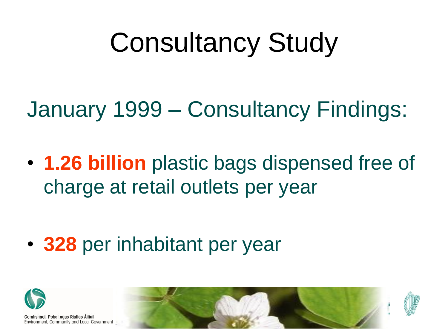# Consultancy Study

January 1999 – Consultancy Findings:

• **1.26 billion** plastic bags dispensed free of charge at retail outlets per year

• **328** per inhabitant per year



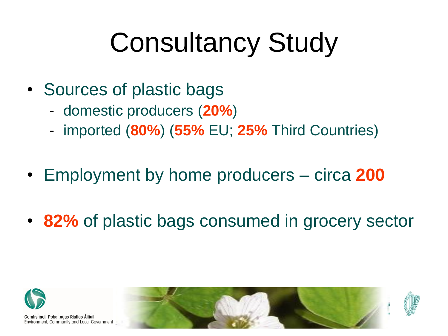# Consultancy Study

- Sources of plastic bags
	- domestic producers (**20%**)
	- imported (**80%**) (**55%** EU; **25%** Third Countries)
- Employment by home producers circa **200**
- **82%** of plastic bags consumed in grocery sector



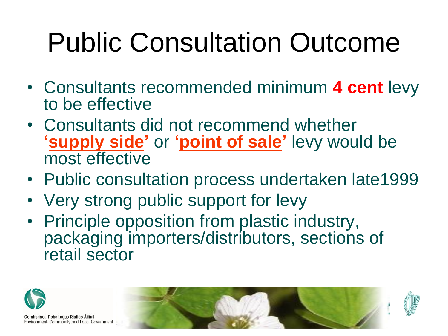# Public Consultation Outcome

- Consultants recommended minimum **4 cent** levy to be effective
- Consultants did not recommend whether **'supply side'** or **'point of sale'** levy would be most effective
- Public consultation process undertaken late1999
- Very strong public support for levy
- Principle opposition from plastic industry, packaging importers/distributors, sections of retail sector

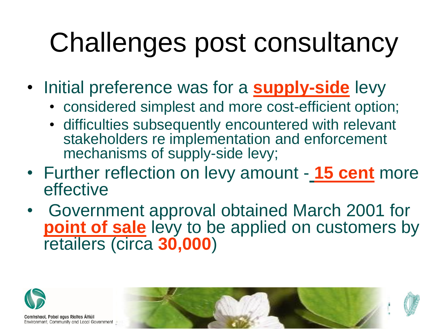# Challenges post consultancy

- Initial preference was for a **supply-side** levy
	- considered simplest and more cost-efficient option;
	- difficulties subsequently encountered with relevant stakeholders re implementation and enforcement mechanisms of supply-side levy;
- Further reflection on levy amount **15 cent** more effective
- Government approval obtained March 2001 for **point of sale** levy to be applied on customers by retailers (circa **30,000**)



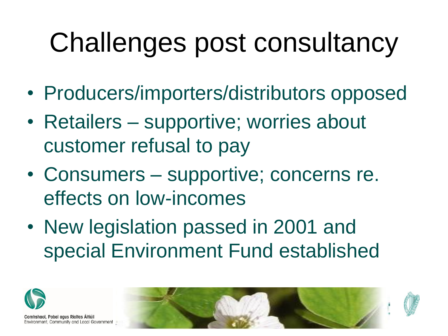# Challenges post consultancy

- Producers/importers/distributors opposed
- Retailers supportive; worries about customer refusal to pay
- Consumers supportive; concerns re. effects on low-incomes
- New legislation passed in 2001 and special Environment Fund established



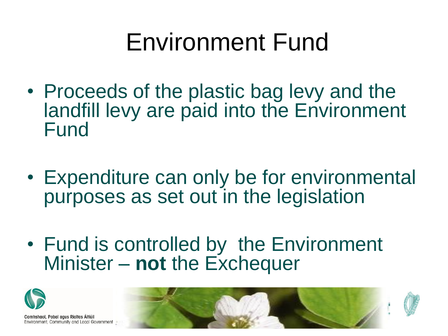#### Environment Fund

- Proceeds of the plastic bag levy and the landfill levy are paid into the Environment Fund
- Expenditure can only be for environmental purposes as set out in the legislation
- Fund is controlled by the Environment Minister – **not** the Exchequer



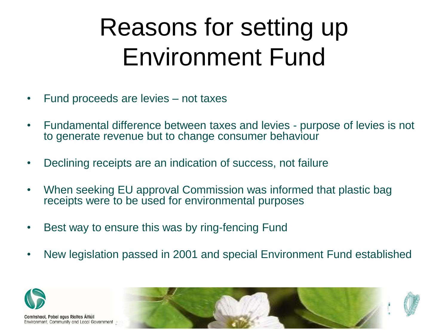### Reasons for setting up Environment Fund

- Fund proceeds are levies not taxes
- Fundamental difference between taxes and levies purpose of levies is not to generate revenue but to change consumer behaviour
- Declining receipts are an indication of success, not failure
- When seeking EU approval Commission was informed that plastic bag receipts were to be used for environmental purposes
- Best way to ensure this was by ring-fencing Fund
- New legislation passed in 2001 and special Environment Fund established



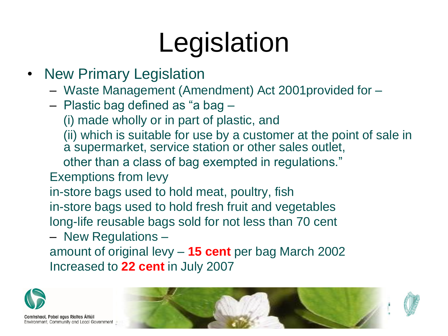# Legislation

- New Primary Legislation
	- Waste Management (Amendment) Act 2001provided for –
	- Plastic bag defined as "a bag
		- (i) made wholly or in part of plastic, and
		- (ii) which is suitable for use by a customer at the point of sale in a supermarket, service station or other sales outlet,
		- other than a class of bag exempted in regulations."
	- Exemptions from levy
	- in-store bags used to hold meat, poultry, fish in-store bags used to hold fresh fruit and vegetables long-life reusable bags sold for not less than 70 cent
	- New Regulations –
	- amount of original levy **15 cent** per bag March 2002 Increased to **22 cent** in July 2007



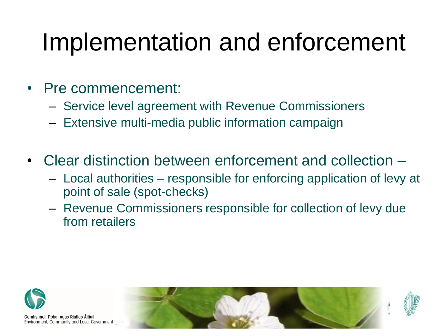#### Implementation and enforcement

- Pre commencement:
	- Service level agreement with Revenue Commissioners
	- Extensive multi-media public information campaign
- Clear distinction between enforcement and collection
	- Local authorities responsible for enforcing application of levy at point of sale (spot-checks)
	- Revenue Commissioners responsible for collection of levy due from retailers



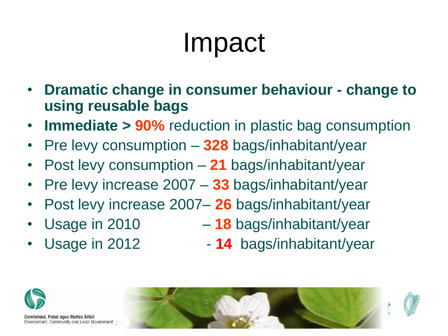# Impact

- **Dramatic change in consumer behaviour - change to using reusable bags**
- **Immediate > 90%** reduction in plastic bag consumption
- Pre levy consumption **328** bags/inhabitant/year
- Post levy consumption **21** bags/inhabitant/year
- Pre levy increase 2007 **33** bags/inhabitant/year
- Post levy increase 2007– **26** bags/inhabitant/year
- 
- Usage in 2010 **18** bags/inhabitant/year
- 
- Usage in 2012 **14** bags/inhabitant/year



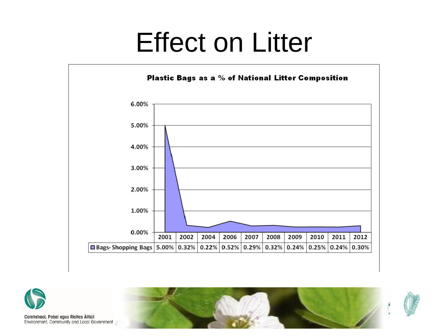### Effect on Litter





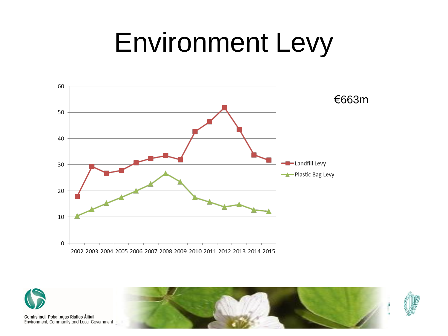# Environment Levy



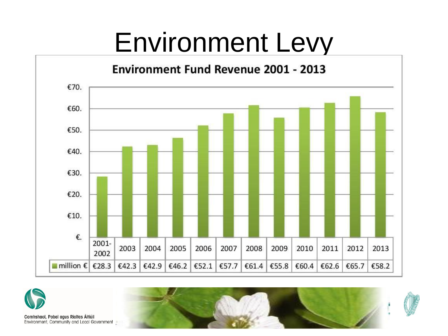## Environment Levy



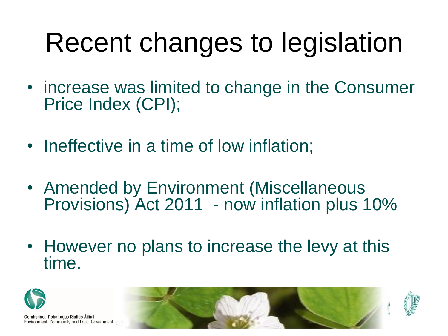# Recent changes to legislation

- increase was limited to change in the Consumer Price Index (CPI);
- Ineffective in a time of low inflation;
- Amended by Environment (Miscellaneous Provisions) Act 2011 - now inflation plus 10%
- However no plans to increase the levy at this time.

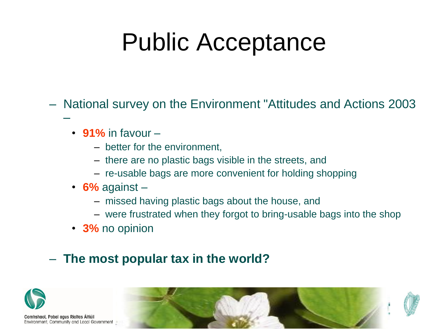### Public Acceptance

– National survey on the Environment "Attitudes and Actions 2003

- **91%** in favour
	- better for the environment,
	- there are no plastic bags visible in the streets, and
	- re-usable bags are more convenient for holding shopping
- **6%** against
	- missed having plastic bags about the house, and
	- were frustrated when they forgot to bring-usable bags into the shop
- **3%** no opinion

#### – **The most popular tax in the world?**



–

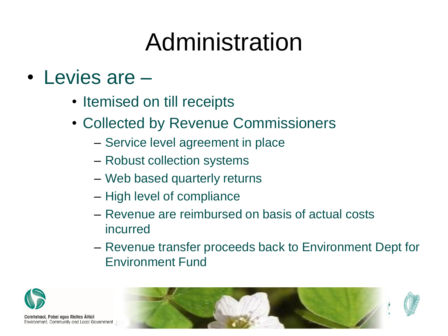## Administration

#### • Levies are –

- Itemised on till receipts
- Collected by Revenue Commissioners
	- Service level agreement in place
	- Robust collection systems
	- Web based quarterly returns
	- High level of compliance
	- Revenue are reimbursed on basis of actual costs incurred
	- Revenue transfer proceeds back to Environment Dept for Environment Fund



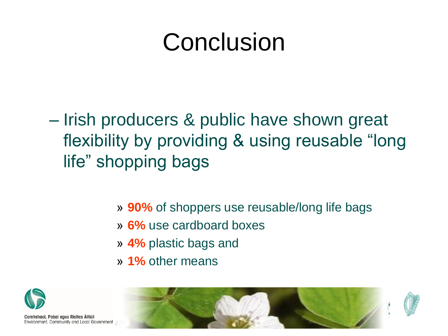### Conclusion

- Irish producers & public have shown great flexibility by providing & using reusable "long life" shopping bags
	- » **90%** of shoppers use reusable/long life bags
	- » **6%** use cardboard boxes
	- » **4%** plastic bags and
	- » **1%** other means



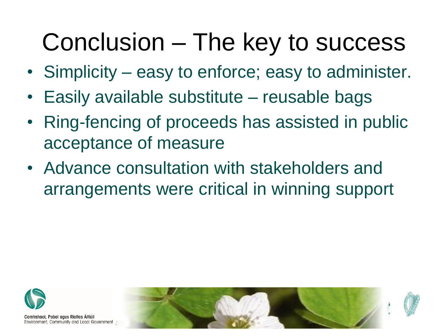#### Conclusion – The key to success

- Simplicity easy to enforce; easy to administer.
- Easily available substitute reusable bags
- Ring-fencing of proceeds has assisted in public acceptance of measure
- Advance consultation with stakeholders and arrangements were critical in winning support